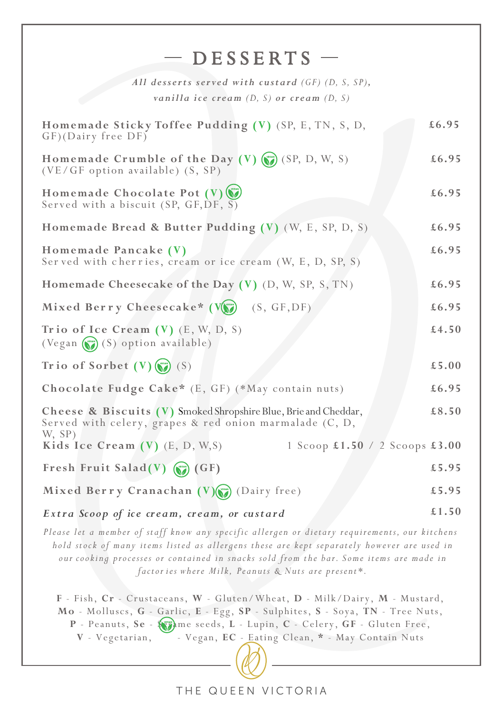| $-$ DESSERTS $-$                                                                                                                                                                                                                                                                                                                            |       |  |
|---------------------------------------------------------------------------------------------------------------------------------------------------------------------------------------------------------------------------------------------------------------------------------------------------------------------------------------------|-------|--|
| All desserts served with custard (GF) (D, S, SP),<br>vanilla ice cream $(D, S)$ or cream $(D, S)$                                                                                                                                                                                                                                           |       |  |
| Homemade Sticky Toffee Pudding (V) (SP, E, TN, S, D,<br>GF)(Dairy free DF)                                                                                                                                                                                                                                                                  | £6.95 |  |
| Homemade Crumble of the Day $(V)$ $(V)$ $(SP, D, W, S)$<br>(VE/GF option available) (S, SP)                                                                                                                                                                                                                                                 | £6.95 |  |
| Homemade Chocolate Pot (V)<br>Served with a biscuit $(SP, GF, DF, S)$                                                                                                                                                                                                                                                                       | £6.95 |  |
| Homemade Bread & Butter Pudding (V) (W, E, SP, D, S)                                                                                                                                                                                                                                                                                        | £6.95 |  |
| Homemade Pancake (V)<br>Served with cherries, cream or ice cream (W, E, D, SP, S)                                                                                                                                                                                                                                                           | £6.95 |  |
| Homemade Cheesecake of the Day (V) (D, W, SP, S, TN)                                                                                                                                                                                                                                                                                        | £6.95 |  |
| Mixed Berry Cheesecake* (V) (S, GF, DF)                                                                                                                                                                                                                                                                                                     | £6.95 |  |
| Trio of Ice Cream $(V)$ (E, W, D, S)<br>(Vegan (S) option available)                                                                                                                                                                                                                                                                        | £4.50 |  |
| Trio of Sorbet $(V)$ $(S)$                                                                                                                                                                                                                                                                                                                  | £5.00 |  |
| Chocolate Fudge Cake* (E, GF) (*May contain nuts)                                                                                                                                                                                                                                                                                           | £6.95 |  |
| Cheese & Biscuits (V) Smoked Shropshire Blue, Brie and Cheddar,<br>Served with celery, grapes & red onion marmalade (C, D,                                                                                                                                                                                                                  | £8.50 |  |
| W, SP)<br>Kids Ice Cream $(V)$ (E, D, W, S)<br>1 Scoop £1.50 / 2 Scoops £3.00                                                                                                                                                                                                                                                               |       |  |
| Fresh Fruit Salad(V) $\qquad \qquad \qquad \qquad$ (GF)                                                                                                                                                                                                                                                                                     | £5.95 |  |
| Mixed Berry Cranachan $(V)(\bullet)$ (Dairy free)                                                                                                                                                                                                                                                                                           | £5.95 |  |
| Extra Scoop of ice cream, cream, or custard                                                                                                                                                                                                                                                                                                 | £1.50 |  |
| Please let a member of staff know any specific allergen or dietary requirements, our kitchens<br>hold stock of many items listed as allergens these are kept separately however are used in<br>our cooking processes or contained in snacks sold from the bar. Some items are made in<br>factories where Milk, Peanuts & Nuts are present*. |       |  |
| F - Fish, Cr - Crustaceans, W - Gluten/Wheat, D - Milk/Dairy, M - Mustard,<br>Mo - Molluscs, G - Garlic, E - Egg, SP - Sulphites, S - Soya, TN - Tree Nuts,<br>P - Peanuts, Se - (1) me seeds, L - Lupin, C - Celery, GF - Gluten Free,<br>- Vegan, EC - Eating Clean, * - May Contain Nuts<br>V - Vegetarian,                              |       |  |

THE QUEEN VICTORIA